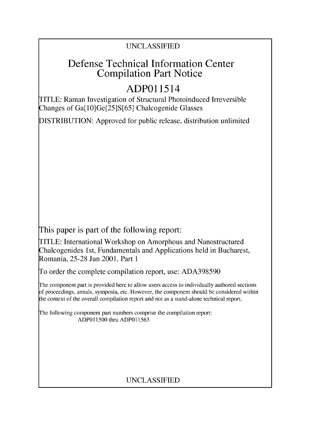## UNCLASSIFIED

## Defense Technical Information Center Compilation Part Notice

# **ADPO** 11514

TITLE: Raman Investigation of Structural Photoinduced Irreversible Changes of Ga[10]Ge[25]S[65] Chalcogenide Glasses

DISTRIBUTION: Approved for public release, distribution unlimited

This paper is part of the following report:

TITLE: International Workshop on Amorphous and Nanostructured Chalcogenides 1 st, Fundamentals and Applications held in Bucharest, Romania, 25-28 Jun 2001. Part 1

To order the complete compilation report, use: ADA398590

The component part is provided here to allow users access to individually authored sections f proceedings, annals, symposia, etc. However, the component should be considered within [he context of the overall compilation report and not as a stand-alone technical report.

The following component part numbers comprise the compilation report: ADPO11500 thru ADP011563

### UNCLASSIFIED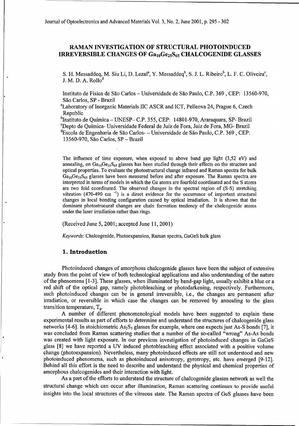#### RAMAN **INVESTIGATION** OF **STRUCTURAL PHOTOINDUCED IRREVERSIBLE CHANGES OF Ga10Ge25S65 CHALCOGENIDE GLASSES**

S. H. Messaddeq, M. Siu Li, D. Lezal<sup>a</sup>, Y. Messaddeq<sup>b</sup>, S. J. L. Ribeiro<sup>b</sup>, L. F. C. Oliveira<sup>c</sup>, **J. M. D. A. Rollo<sup>d</sup>** 

Instituto de Fisica de Sdo Carlos - Universidade de Sao Paulo, C.P. 369 , **CEP:** 13560-970, São Carlos, SP - Brazil alaboratory of Inorganic Materials IIC ASCR and ICT, Pelleova 24, Prague 6, Czech

Republic

<sup>b</sup>Instituto de Química - UNESP- C.P. 355, CEP: 14801-970, Araraquara, SP- Brazil cDepto de Quimica- Universidade Federal de Juiz de Fora, Juiz de Fora, MG- Brazil <sup>d</sup>Escola de Engenharia de São Carlos- - Universidade de São Paulo, C.P. 369, CEP: 13560-970, São Carlos, SP - Brazil

The influence of time exposure, when exposed to above band gap light (3,52 eV) and annealing, on  $Ga_{10}Ge_{25}S_{65}$  glasses has been studied through their effects on the structure and optical properties. To evaluate the photostructural change infrared and Raman spectra for bulk  $Ga_{10}Ge_{25}S_{65}$  glasses have been measured before and after exposure. The Raman spectra are interpreted in terms of models in which the Ge atoms are fourfold coordinated and the S atoms are two fold coordinated. The observed changes in the spectral region of (S-S) stretching vibration (470-490 cm **-')** is a direct evidence for the occurrence of important structural changes in local bonding configuration caused by optical irradiation. It is shown that the dominant photostrucural changes are chain formation tendency of the chalcogenide atoms under the laser irradiation rather than rings.

(Received June 5, 2001; accepted June 11, 2001)

*Keywords:* Chalcogenide, Photoexpansion, Raman spectra, GaGeS bulk glass

#### **1.** Introduction

Photoinduced changes of amorphous chalcogenide glasses have been the subject of extensive study from the point of view of both technological applications and also understanding of the nature of the phenomena [1-3]. These glasses, when illuminated by band-gap light, usually exhibit a blue or a red shift of the optical gap, namely photobleaching or photodarkening, respectively. Furthermore, such photoinduced changes can be in general irreversible, i.e., the changes are permanent after irradiation, or reversible in which case the changes can be removed by annealing to the glass transition temperature,  $T_g$ .

A number of different phenomenological models have been suggested to explain these experimental results as part of efforts to determine and understand the structures of chalcogenide glass networks  $[4-6]$ . In stoichiometric As<sub>2</sub>S<sub>3</sub> glasses for example, where one expects just As-S bonds [7], it was concluded from Raman scattering studies that a number of the so-called "wrong" As-As bonds was created with light exposure. In our previous investigation of photoinduced changes in GaGeS glass [8] we have reported a UV induced photobleaching effect associated with a positive volume change (photoexpansion). Nevertheless, many photoinduced effects are still not understood and new photoinduced phenomena, such as photoinduced anisotropy, gyrotropy, etc. have emerged [9-12]. Behind all this effort is the need to describe and understand the physical and chemical properties of amorphous chalcogenides and their interaction with light.

As a part of the efforts to understand the structure of chalcogenide glasses network as well the structural change which can occur after illumination, Raman scattering continues to provide useful insights into the local structures of the vitreous state. The Raman spectra of GeS glasses have been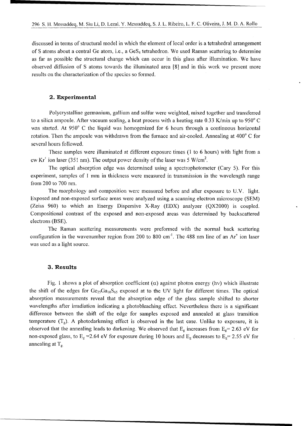discussed in terms of structural model in which the element of local order is a tetrahedral arrangement of S atoms about a central Ge atom, i.e., a  $\text{GeS}_4$  tetrahedron. We used Raman scattering to determine as far as possible the structural change which can occur in this glass after illumination. We have observed diffusion of S atoms towards the illuminated area **[8]** and in this work we present more results on the characterization of the species so formed.

#### 2. Experimental

Polycrystalline germanium, gallium and sulfur were weighted, mixed together and transferred to a silica ampoule. After vacuum sealing, a heat process with a heating rate 0.33 K/min up to 950 $^{\circ}$  C was started. At  $950^{\circ}$  C the liquid was homogenized for 6 hours through a continuous horizontal rotation. Then the ampoule was withdrawn from the furnace and air-cooled. Annealing at  $400^{\circ}$  C for several hours followed.

These samples were illuminated at different exposure times (1 to 6 hours) with light from a cw  $Kr^{\dagger}$  ion laser (351 nm). The output power density of the laser was 5 W/cm<sup>2</sup>.

The optical absorption edge was determined using a spectrophotometer (Cary 5). For this experiment, samples of 1 mm in thickness were measured in transmission in the wavelength range from 200 to 700 nm.

The morphology and composition were measured before and after exposure to U.V. light. Exposed and non-exposed surface areas were analyzed using a scanning electron microscope (SEM) (Zeiss 960) to which an Energy Dispersive X-Ray (EDX) analyzer (QX2000) is coupled. Compositional contrast of the exposed and non-exposed areas was determined by backscattered electrons (BSE).

The Raman scattering measurements were preformed with the normal back scattering configuration in the wavenumber region from 200 to 800 cm<sup>-1</sup>. The 488 nm line of an  $Ar^+$  ion laser was used as a light source.

#### **3.** Results

Fig. 1 shows a plot of absorption coefficient  $(\alpha)$  against photon energy (hv) which illustrate the shift of the edges for  $Ge_{25}Ga_{10}S_{65}$  exposed at to the UV light for different times. The optical absorption measurements reveal that the absorption edge of the glass sample shifted to shorter wavelengths after irradiation indicating a photobleaching effect. Nevertheless there is a significant difference between the shift of the edge for samples exposed and annealed at glass transition temperature  $(T_g)$ . A photodarkening effect is observed in the last case. Unlike to exposure, it is observed that the annealing leads to darkening. We observed that *Eg* increases from *Eg=* 2.63 eV for non-exposed glass, to  $E_g = 2.64$  eV for exposure during 10 hours and  $E_g$  decreases to  $E_g = 2.55$  eV for annealing at  $T_g$ .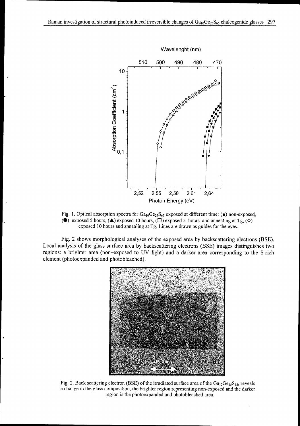

Fig. 1. Optical absorption spectra for Ga<sub>10</sub>Ge<sub>25</sub>S<sub>65</sub> exposed at different time: ( $\blacksquare$ ) non-exposed, **(0)** exposed 5 hours,  $(A)$  exposed 10 hours,  $(\Box)$  exposed 5 hours and annealing at Tg,  $(\diamond)$ exposed 10 hours and annealing at Tg. Lines are drawn as guides for the eyes.

Fig. 2 shows morphological analyses of the exposed area by backscattering electrons (BSE). Local analysis of the glass surface area by backscattering electrons (BSE) images distinguishes two regions: a brighter area (non-exposed to UV light) and a darker area corresponding to the S-rich element (photoexpanded and photobleached).



Fig. 2. Back scattering electron (BSE) of the irradiated surface area of the  $Ga_{10}Ge_{25}S_{65}$ , reveals a change in the glass composition, the brighter region representing non-exposed and the darker region is the photoexpanded and photobleached area.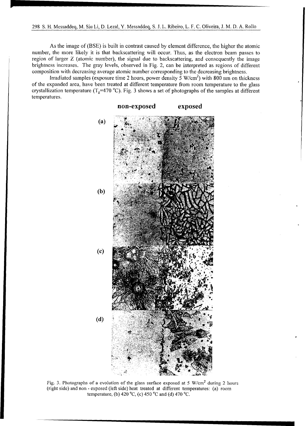As the image of (BSE) is built in contrast caused by element difference, the higher the atomic number, the more likely it is that backscattering will occur. Thus, as the electron beam passes to region of larger Z (atomic number), the signal due to backscattering, and consequently the image brightness increases. The gray levels, observed in Fig. 2, can be interpreted as regions of different composition with decreasing average atomic number corresponding to the decreasing brightness.

Irradiated samples (exposure time 2 hours, power density 5 W/cm<sup>2</sup>) with 800 nm on thickness of the expanded area, have been treated at different temperature from room temperature to the glass crystallization temperature  $(T_g=470 \degree C)$ . Fig. 3 shows a set of photographs of the samples at different temperatures.



Fig. 3. Photographs of a evolution of the glass surface exposed at *5* W/cm2 during 2 hours (right side) and non - exposed (left side) heat treated at different temperatures: (a) room temperature, (b) 420 **'C,** (c) 450 **'C** and (d) 470 **'C.**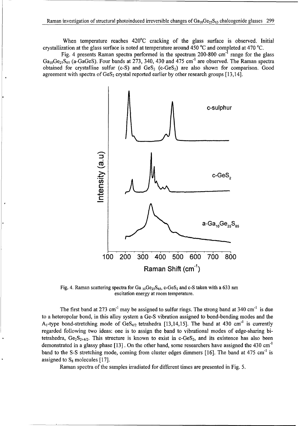When temperature reaches 420°C cracking of the glass surface is observed. Initial crystallization at the glass surface is noted at temperature around 450 °C and completed at 470 °C.

Fig. 4 presents Raman spectra performed in the spectrum  $200-800$  cm<sup>-1</sup> range for the glass  $Ga_{10}Ge_{25}S_{65}$  (a-GaGeS). Four bands at 273, 340, 430 and 475 cm<sup>-1</sup> are observed. The Raman spectra obtained for crystalline sulfur (c-S) and  $GeS_2$  (c-GeS<sub>2</sub>) are also shown for comparison. Good agreement with spectra of  $Ges<sub>2</sub>$  crystal reported earlier by other research groups [13,14].



Fig. 4. Raman scattering spectra for Ga  $_{10}Ge_{25}S_{65}$ , c-GeS<sub>2</sub> and c-S taken with a 633 nm excitation energy at room temperature.

The first band at 273 cm<sup>-1</sup> may be assigned to sulfur rings. The strong band at 340 cm<sup>-1</sup> is due to a heteropolar bond, in this alloy system a Ge-S vibration assigned to bond-bending modes and the A<sub>1</sub>-type bond-stretching mode of GeS<sub>4/2</sub> tetrahedra [13,14,15]. The band at 430 cm<sup>-1</sup> is currently regarded following two ideas: one is to assign the band to vibrational modes of edge-sharing bitetrahedra,  $Ge_2S_{2+4/2}$ . This structure is known to exist in c-GeS<sub>2</sub>, and its existence has also been demonstrated in a glassy phase [13]. On the other hand, some researchers have assigned the 430 cm<sup>-1</sup> band to the S-S stretching mode, coming from cluster edges dimmers  $[16]$ . The band at 475 cm<sup>-1</sup> is assigned to  $S_8$  molecules [17].

Raman spectra of the samples irradiated for different times are presented in Fig. 5.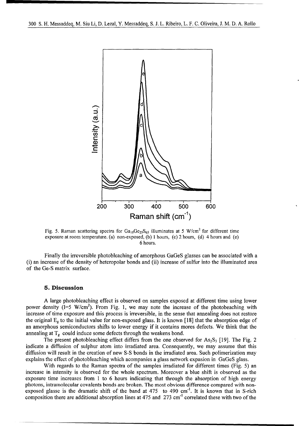

Fig. 5. Raman scattering spectra for  $Ga_{10}Ge_{25}S_{65}$  illuminates at 5 W/cm<sup>2</sup> for different time exposure at room temperature. (a) non-exposed, (b) 1 hours, (c) 2 hours, (d) 4 hours and (e) 6 hours.

Finally the irreversible photobleaching of amorphous GaGeS glasses can be associated with a (i) an increase of the density of heteropolar bonds and (ii) increase of sulfur into the illuminated area of the Ge-S matrix surface.

#### 5. Discussion

A large photobleaching effect is observed on samples exposed at different time using lower power density  $(I=5 \text{ W/cm}^2)$ . From Fig. 1, we may note the increase of the photobeaching with increase of time exposure and this process is irreversible, in the sense that annealing does not restore the original  $E<sub>g</sub>$  to the initial value for non-exposed glass. It is known [18] that the absorption edge of an amorphous semiconductors shifts to lower energy if it contains mores defects. We think that the annealing at  $T_g$  could induce some defects through the weakens bond.

The present photobleaching effect differs from the one observed for  $As_2S_3$  [19]. The Fig. 2 indicate a diffusion of sulphur atom into irradiated area. Consequently, we may assume that this diffusion will result in the creation of new S-S bonds in the irradiated area. Such polimerization may explains the effect of photobleaching which acompanies a glass network expasion in GaGeS glass.

With regards to the Raman spectra of the samples irradiated for different times (Fig. 5) an increase in intensity is observed for the whole spectrum. Moreover a blue shift is observed as the exposure time increases from 1 to 6 hours indicating that through the absorption of high energy photons, intramolecular covalents bonds arc broken. The most obvious difference compared with nonexposed glasse is the dramatic shift of the band at  $475$  to  $490 \text{ cm}^{-1}$ . It is known that in S-rich composition there are additional absorption lines at  $475$  and  $273$  cm<sup>-1</sup> correlated these with two of the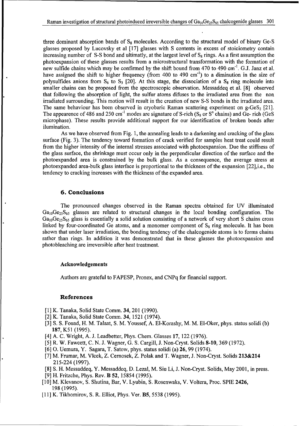three dominant absorption bands of S<sub>8</sub> molecules. According to the structural model of binary Ge-S glasses proposed by Lucovsky et al [17] glasses with S contents in excess of stoiciometry contain increasing number of S-S bond and ultimatly, at the largest level of  $S_8$  rings. As a first assumption the photoexpansion of these glasses results from a microstructural transformation with the formation of new sulfide chains which may be confirmed by the shift bound from 470 to 490  $cm^{-1}$ . G.J. Janz et al. have assigned the shift to higher frequency (from 400 to 490 cm<sup>-1</sup>) to a diminution in the size of polysulfides anions from  $S_6$  to  $S_3$  [20]. At this stage, the dissociation of a  $S_8$  ring molecule into smaller chains can be proposed from the spectroscopic observation. Messaddeq et al. [8] observed that following the absorption of light, the sulfur atoms difuses to the irradiated area from the non irradiated surrounding. This motion will result in the creation of new S-S bonds in the irradiated area. The same behaviour has been observed in cryobaric Raman scattering experiment on  $g-GeS<sub>2</sub>$  [21]. The appearence of 486 and 250 cm<sup>-1</sup> modes are signature of S-rich (S<sub>8</sub> or S<sup>n</sup> chains) and Ge- rich (GeS microphase). These results provide additional support for our identification of broken bonds after ilumination.

As we have observed from Fig. 1, the annealing leads to a darkening and cracking of the glass surface (Fig. 3). The tendency toward formation of crack verified for samples heat treat could result from the higher intensity of the internal stresses associated with photoexpansion. Due the stiffness of the glass surface, the shrinkage must occur only in the perpendicular direction of the surface and the photoexpanded area is constrained by the bulk glass. As a consequence, the average stress at photoexpanded area-bulk glass interface is proportional to the thickness of the expansion [22],i.e., the tendency to cracking increases with the thickness of the expanded area.

#### **6.** Conclusions

The pronounced changes observed in the Raman spectra obtained for UV illuminated  $Ga_{10}Ge_{25}S_{65}$  glasses are related to structural changes in the local bonding configuration. The  $Ga_{10}Ge_{25}S_{65}$  glass is essentially a solid solution consisting of a network of very short S chains cross linked by four-coordinated Ge atoms, and a monomer component of S<sub>8</sub> ring molecule. It has been shown that under laser irradiation, the bonding tendency of the chalcogenide atoms is to forms chains rather than rings. In addition it was demonstrated that in these glasses the photoexpansion and photobleaching are irreversible after heat treatment.

#### Acknowledgements

Authors are grateful to FAPESP, Pronex, and CNPq for financial support.

#### References

- [1] K. Tanaka, Solid State Comm. 34, 201 (1990).
- [2] K. Tanaka, Solid State Comm. 34, 1521 (1974).
- [3] S. S. Fouad, H. M. Talaat, S. M. Youssef, A. El-Korashy, M. M. El-Oker, phys. status solidi (b) 187, K51 (1995).
- [4] A. C. Wright, A. J. Leadbetter, Phys. Chem. Glasses 17, 122 (1976).
- [5] R. W. Fawcett, C. N. J. Wagner, G. S. Cargill, J. Non-Cryst. Solids 8-10, 369 (1972).
- [6] **0.** Uemura, Y. Sagara, T. Satow, phys. status solidi (a) 26, 99 (1974).
- [7] M. Frumar, M. Vlcek, Z. Cernosek, Z. Polak and T. Wagner, J. Non-Cryst. Solids 213&214 215-224 (1997).
- [8] S. H. Messaddeq, Y. Messaddeq, D. Lezal, M. Siu Li, J. Non-Cryst. Solids, May 2001, in press.
- [9] H. Fritzche, Phys. Rev. B 52, 15854 (1995).
- [10] M. Klevanov, S. Shutina, Bar, V. Lyubin, S. Rosenwaks, V. Voltera, Proc. SPIE 2426, **198** (1995).
- **[11]** K. Tikhomirov, S. R. Elliot, Phys. Ver. B5, 5538 (1995).